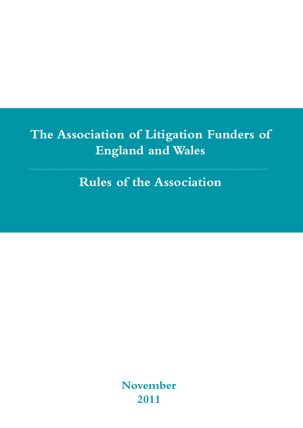# **The Association of Litigation Funders of England and Wales**

**Rules of the Association**

**November 2011**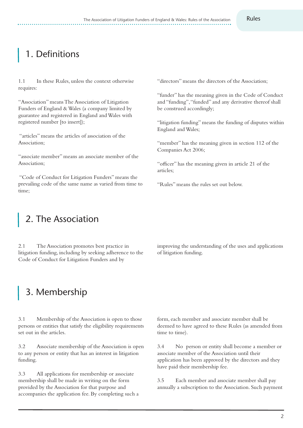## 1. Definitions

1.1 In these Rules, unless the context otherwise requires:

"Association" meansThe Association of Litigation Funders of England & Wales (a company limited by guarantee and registered in England andWales with registered number [to insert]);

"articles" means the articles of association of the Association;

"associate member" means an associate member of the Association;

"Code of Conduct for Litigation Funders" means the prevailing code of the same name as varied from time to time;

"directors" means the directors of the Association;

"funder" has the meaning given in the Code of Conduct and "funding", "funded" and any derivative thereof shall be construed accordingly;

"litigation funding" means the funding of disputes within England andWales;

"member" has the meaning given in section 112 of the Companies Act 2006;

"officer" has the meaning given in article 21 of the articles;

"Rules" means the rules set out below.

#### 2. The Association

2.1 The Association promotes best practice in litigation funding, including by seeking adherence to the Code of Conduct for Litigation Funders and by

improving the understanding of the uses and applications of litigation funding.

## 3. Membership

3.1 Membership of the Association is open to those persons or entities that satisfy the eligibility requirements set out in the articles.

3.2 Associate membership of the Association is open to any person or entity that has an interest in litigation funding.

3.3 All applications for membership or associate membership shall be made in writing on the form provided by the Association for that purpose and accompanies the application fee. By completing such a form, each member and associate member shall be deemed to have agreed to these Rules (as amended from time to time).

3.4 No person or entity shall become a member or associate member of the Association until their application has been approved by the directors and they have paid their membership fee.

3.5 Each member and associate member shall pay annually a subscription to the Association. Such payment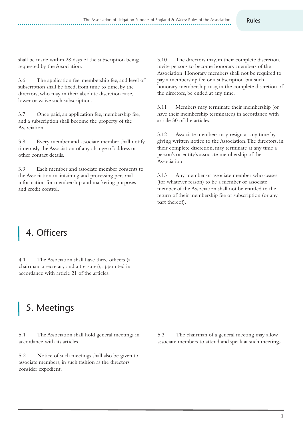shall be made within 28 days of the subscription being requested by the Association.

3.6 The application fee, membership fee, and level of subscription shall be fixed, from time to time, by the directors, who may in their absolute discretion raise, lower or waive such subscription.

3.7 Once paid,an application fee, membership fee, and a subscription shall become the property of the Association.

3.8 Every member and associate member shall notify timeously the Association of any change of address or other contact details.

3.9 Each member and associate member consents to the Association maintaining and processing personal information for membership and marketing purposes and credit control.

3.10 The directors may, in their complete discretion, invite persons to become honorary members of the Association. Honorary members shall not be required to pay a membership fee or a subscription but such honorary membership may, in the complete discretion of the directors, be ended at any time.

3.11 Members may terminate their membership (or have their membership terminated) in accordance with article 30 of the articles.

3.12 Associate members may resign at any time by giving written notice to the Association.The directors, in their complete discretion, may terminate at any time a person's or entity's associate membership of the Association.

3.13 Any member or associate member who ceases (for whatever reason) to be a member or associate member of the Association shall not be entitled to the return of their membership fee or subscription (or any part thereof).

#### 4. Officers

4.1 The Association shall have three officers (a chairman, a secretary and a treasurer), appointed in accordance with article 21 of the articles.

# 5. Meetings

5.1 The Association shall hold general meetings in accordance with its articles.

5.2 Notice of such meetings shall also be given to associate members, in such fashion as the directors consider expedient.

5.3 The chairman of a general meeting may allow associate members to attend and speak at such meetings.